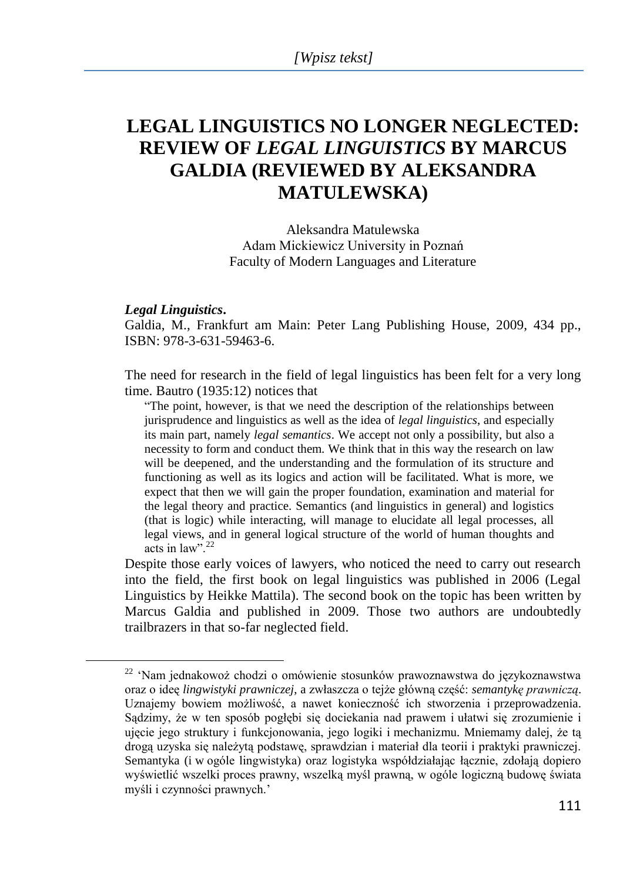## **LEGAL LINGUISTICS NO LONGER NEGLECTED: REVIEW OF** *LEGAL LINGUISTICS* **BY MARCUS GALDIA (REVIEWED BY ALEKSANDRA MATULEWSKA)**

Aleksandra Matulewska Adam Mickiewicz University in Poznań Faculty of Modern Languages and Literature

## *Legal Linguistics***.**

 $\overline{a}$ 

Galdia, M., Frankfurt am Main: Peter Lang Publishing House, 2009, 434 pp., ISBN: 978-3-631-59463-6.

The need for research in the field of legal linguistics has been felt for a very long time. Bautro (1935:12) notices that

"The point, however, is that we need the description of the relationships between jurisprudence and linguistics as well as the idea of *legal linguistics*, and especially its main part, namely *legal semantics*. We accept not only a possibility, but also a necessity to form and conduct them. We think that in this way the research on law will be deepened, and the understanding and the formulation of its structure and functioning as well as its logics and action will be facilitated. What is more, we expect that then we will gain the proper foundation, examination and material for the legal theory and practice. Semantics (and linguistics in general) and logistics (that is logic) while interacting, will manage to elucidate all legal processes, all legal views, and in general logical structure of the world of human thoughts and acts in law".  $^{22}$ 

Despite those early voices of lawyers, who noticed the need to carry out research into the field, the first book on legal linguistics was published in 2006 (Legal Linguistics by Heikke Mattila). The second book on the topic has been written by Marcus Galdia and published in 2009. Those two authors are undoubtedly trailbrazers in that so-far neglected field.

<sup>22</sup> ‗Nam jednakowoż chodzi o omówienie stosunków prawoznawstwa do językoznawstwa oraz o ideę *lingwistyki prawniczej*, a zwłaszcza o tejże główną część: *semantykę prawniczą*. Uznajemy bowiem możliwość, a nawet konieczność ich stworzenia i przeprowadzenia. Sądzimy, że w ten sposób pogłębi się dociekania nad prawem i ułatwi się zrozumienie i ujęcie jego struktury i funkcjonowania, jego logiki i mechanizmu. Mniemamy dalej, że tą drogą uzyska się należytą podstawę, sprawdzian i materiał dla teorii i praktyki prawniczej. Semantyka (i w ogóle lingwistyka) oraz logistyka współdziałając łącznie, zdołają dopiero wyświetlić wszelki proces prawny, wszelką myśl prawną, w ogóle logiczną budowę świata myśli i czynności prawnych.'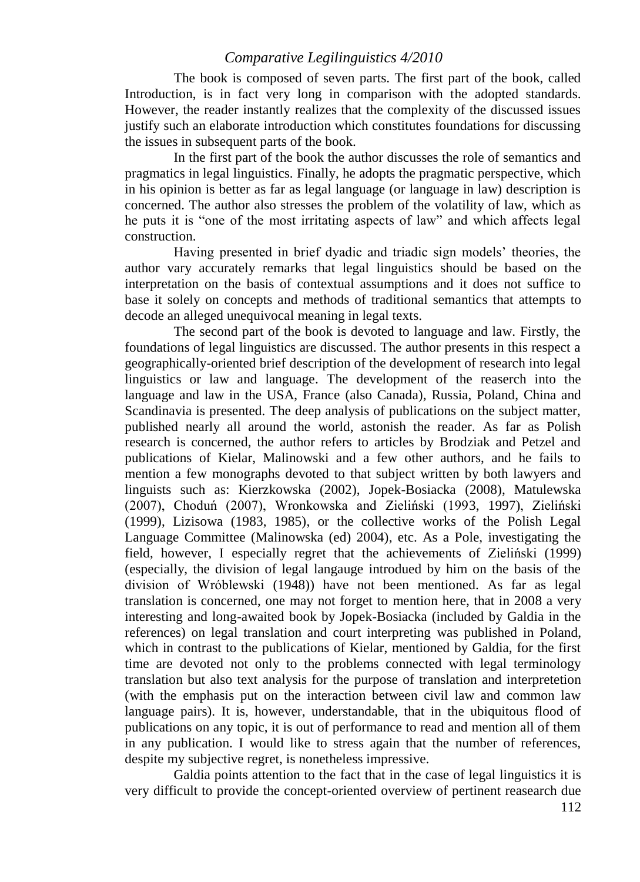## *Comparative Legilinguistics 4/2010*

The book is composed of seven parts. The first part of the book, called Introduction, is in fact very long in comparison with the adopted standards. However, the reader instantly realizes that the complexity of the discussed issues justify such an elaborate introduction which constitutes foundations for discussing the issues in subsequent parts of the book.

In the first part of the book the author discusses the role of semantics and pragmatics in legal linguistics. Finally, he adopts the pragmatic perspective, which in his opinion is better as far as legal language (or language in law) description is concerned. The author also stresses the problem of the volatility of law, which as he puts it is "one of the most irritating aspects of law" and which affects legal construction.

Having presented in brief dyadic and triadic sign models' theories, the author vary accurately remarks that legal linguistics should be based on the interpretation on the basis of contextual assumptions and it does not suffice to base it solely on concepts and methods of traditional semantics that attempts to decode an alleged unequivocal meaning in legal texts.

The second part of the book is devoted to language and law. Firstly, the foundations of legal linguistics are discussed. The author presents in this respect a geographically-oriented brief description of the development of research into legal linguistics or law and language. The development of the reaserch into the language and law in the USA, France (also Canada), Russia, Poland, China and Scandinavia is presented. The deep analysis of publications on the subject matter, published nearly all around the world, astonish the reader. As far as Polish research is concerned, the author refers to articles by Brodziak and Petzel and publications of Kielar, Malinowski and a few other authors, and he fails to mention a few monographs devoted to that subject written by both lawyers and linguists such as: Kierzkowska (2002), Jopek-Bosiacka (2008), Matulewska (2007), Choduń (2007), Wronkowska and Zieliński (1993, 1997), Zieliński (1999), Lizisowa (1983, 1985), or the collective works of the Polish Legal Language Committee (Malinowska (ed) 2004), etc. As a Pole, investigating the field, however, I especially regret that the achievements of Zieliński (1999) (especially, the division of legal langauge introdued by him on the basis of the division of Wróblewski (1948)) have not been mentioned. As far as legal translation is concerned, one may not forget to mention here, that in 2008 a very interesting and long-awaited book by Jopek-Bosiacka (included by Galdia in the references) on legal translation and court interpreting was published in Poland, which in contrast to the publications of Kielar, mentioned by Galdia, for the first time are devoted not only to the problems connected with legal terminology translation but also text analysis for the purpose of translation and interpretetion (with the emphasis put on the interaction between civil law and common law language pairs). It is, however, understandable, that in the ubiquitous flood of publications on any topic, it is out of performance to read and mention all of them in any publication. I would like to stress again that the number of references, despite my subjective regret, is nonetheless impressive.

Galdia points attention to the fact that in the case of legal linguistics it is very difficult to provide the concept-oriented overview of pertinent reasearch due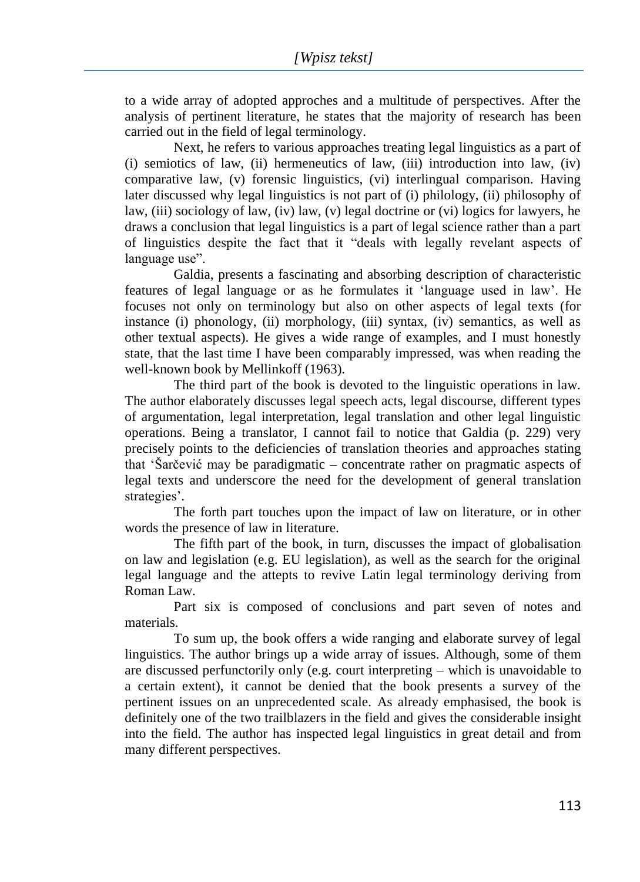to a wide array of adopted approches and a multitude of perspectives. After the analysis of pertinent literature, he states that the majority of research has been carried out in the field of legal terminology.

Next, he refers to various approaches treating legal linguistics as a part of  $(i)$  semiotics of law,  $(ii)$  hermeneutics of law,  $(iii)$  introduction into law,  $(iv)$ comparative law, (v) forensic linguistics, (vi) interlingual comparison. Having later discussed why legal linguistics is not part of (i) philology, (ii) philosophy of law, (iii) sociology of law, (iv) law, (v) legal doctrine or (vi) logics for lawyers, he draws a conclusion that legal linguistics is a part of legal science rather than a part of linguistics despite the fact that it "deals with legally revelant aspects of language use".

Galdia, presents a fascinating and absorbing description of characteristic features of legal language or as he formulates it ‗language used in law'. He focuses not only on terminology but also on other aspects of legal texts (for instance (i) phonology, (ii) morphology, (iii) syntax, (iv) semantics, as well as other textual aspects). He gives a wide range of examples, and I must honestly state, that the last time I have been comparably impressed, was when reading the well-known book by Mellinkoff (1963).

The third part of the book is devoted to the linguistic operations in law. The author elaborately discusses legal speech acts, legal discourse, different types of argumentation, legal interpretation, legal translation and other legal linguistic operations. Being a translator, I cannot fail to notice that Galdia (p. 229) very precisely points to the deficiencies of translation theories and approaches stating that 'Šarčević may be paradigmatic – concentrate rather on pragmatic aspects of legal texts and underscore the need for the development of general translation strategies'.

The forth part touches upon the impact of law on literature, or in other words the presence of law in literature.

The fifth part of the book, in turn, discusses the impact of globalisation on law and legislation (e.g. EU legislation), as well as the search for the original legal language and the attepts to revive Latin legal terminology deriving from Roman Law.

Part six is composed of conclusions and part seven of notes and materials.

To sum up, the book offers a wide ranging and elaborate survey of legal linguistics. The author brings up a wide array of issues. Although, some of them are discussed perfunctorily only (e.g. court interpreting – which is unavoidable to a certain extent), it cannot be denied that the book presents a survey of the pertinent issues on an unprecedented scale. As already emphasised, the book is definitely one of the two trailblazers in the field and gives the considerable insight into the field. The author has inspected legal linguistics in great detail and from many different perspectives.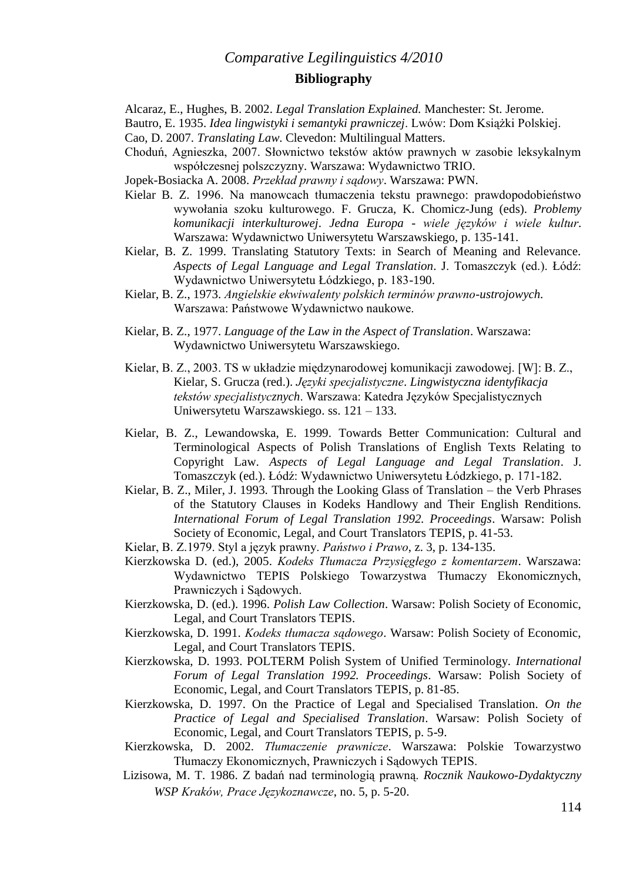## *Comparative Legilinguistics 4/2010* **Bibliography**

Alcaraz, E., Hughes, B. 2002. *Legal Translation Explained.* Manchester: St. Jerome.

Bautro, E. 1935. *Idea lingwistyki i semantyki prawniczej*. Lwów: Dom Książki Polskiej.

- Cao, D. 2007. *Translating Law*. Clevedon: Multilingual Matters.
- Choduń, Agnieszka, 2007. Słownictwo tekstów aktów prawnych w zasobie leksykalnym współczesnej polszczyzny. Warszawa: Wydawnictwo TRIO.
- Jopek-Bosiacka A. 2008. *Przekład prawny i sądowy*. Warszawa: PWN.
- Kielar B. Z. 1996. Na manowcach tłumaczenia tekstu prawnego: prawdopodobieństwo wywołania szoku kulturowego. F. Grucza, K. Chomicz-Jung (eds). *Problemy komunikacji interkulturowej*. *Jedna Europa - wiele języków i wiele kultur*. Warszawa: Wydawnictwo Uniwersytetu Warszawskiego, p. 135-141.
- Kielar, B. Z. 1999. Translating Statutory Texts: in Search of Meaning and Relevance. *Aspects of Legal Language and Legal Translation*. J. Tomaszczyk (ed.). Łódź: Wydawnictwo Uniwersytetu Łódzkiego, p. 183-190.
- Kielar, B. Z., 1973. *Angielskie ekwiwalenty polskich terminów prawno-ustrojowych*. Warszawa: Państwowe Wydawnictwo naukowe.
- Kielar, B. Z., 1977. *Language of the Law in the Aspect of Translation*. Warszawa: Wydawnictwo Uniwersytetu Warszawskiego.
- Kielar, B. Z., 2003. TS w układzie międzynarodowej komunikacji zawodowej. [W]: B. Z., Kielar, S. Grucza (red.). *Języki specjalistyczne*. *Lingwistyczna identyfikacja tekstów specjalistycznych*. Warszawa: Katedra Języków Specjalistycznych Uniwersytetu Warszawskiego. ss. 121 – 133.
- Kielar, B. Z., Lewandowska, E. 1999. Towards Better Communication: Cultural and Terminological Aspects of Polish Translations of English Texts Relating to Copyright Law. *Aspects of Legal Language and Legal Translation*. J. Tomaszczyk (ed.). Łódź: Wydawnictwo Uniwersytetu Łódzkiego, p. 171-182.
- Kielar, B. Z., Miler, J. 1993. Through the Looking Glass of Translation the Verb Phrases of the Statutory Clauses in Kodeks Handlowy and Their English Renditions. *International Forum of Legal Translation 1992. Proceedings*. Warsaw: Polish Society of Economic, Legal, and Court Translators TEPIS, p. 41-53.
- Kielar, B. Z.1979. Styl a język prawny. *Państwo i Prawo*, z. 3, p. 134-135.
- Kierzkowska D. (ed.), 2005. *Kodeks Tłumacza Przysięgłego z komentarzem*. Warszawa: Wydawnictwo TEPIS Polskiego Towarzystwa Tłumaczy Ekonomicznych, Prawniczych i Sądowych.
- Kierzkowska, D. (ed.). 1996. *Polish Law Collection*. Warsaw: Polish Society of Economic, Legal, and Court Translators TEPIS.
- Kierzkowska, D. 1991. *Kodeks tłumacza sądowego*. Warsaw: Polish Society of Economic, Legal, and Court Translators TEPIS.
- Kierzkowska, D. 1993. POLTERM Polish System of Unified Terminology. *International Forum of Legal Translation 1992. Proceedings*. Warsaw: Polish Society of Economic, Legal, and Court Translators TEPIS, p. 81-85.
- Kierzkowska, D. 1997. On the Practice of Legal and Specialised Translation. *On the Practice of Legal and Specialised Translation*. Warsaw: Polish Society of Economic, Legal, and Court Translators TEPIS, p. 5-9.
- Kierzkowska, D. 2002. *Tłumaczenie prawnicze*. Warszawa: Polskie Towarzystwo Tłumaczy Ekonomicznych, Prawniczych i Sądowych TEPIS.
- Lizisowa, M. T. 1986. Z badań nad terminologią prawną. *Rocznik Naukowo-Dydaktyczny WSP Kraków, Prace Językoznawcze*, no. 5, p. 5-20.